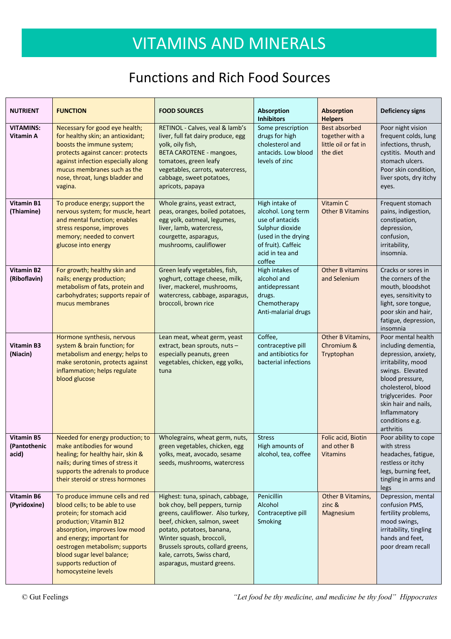#### Functions and Rich Food Sources

| <b>NUTRIENT</b>                            | <b>FUNCTION</b>                                                                                                                                                                                                                                                                                         | <b>FOOD SOURCES</b>                                                                                                                                                                                                                                                                                | <b>Absorption</b><br><b>Inhibitors</b>                                                                                                               | <b>Absorption</b><br><b>Helpers</b>                                         | <b>Deficiency signs</b>                                                                                                                                                                                                                             |
|--------------------------------------------|---------------------------------------------------------------------------------------------------------------------------------------------------------------------------------------------------------------------------------------------------------------------------------------------------------|----------------------------------------------------------------------------------------------------------------------------------------------------------------------------------------------------------------------------------------------------------------------------------------------------|------------------------------------------------------------------------------------------------------------------------------------------------------|-----------------------------------------------------------------------------|-----------------------------------------------------------------------------------------------------------------------------------------------------------------------------------------------------------------------------------------------------|
| <b>VITAMINS:</b><br>Vitamin A              | Necessary for good eye health;<br>for healthy skin; an antioxidant;<br>boosts the immune system;<br>protects against cancer: protects<br>against infection especially along<br>mucus membranes such as the<br>nose, throat, lungs bladder and<br>vagina.                                                | RETINOL - Calves, veal & lamb's<br>liver, full fat dairy produce, egg<br>yolk, oily fish,<br><b>BETA CAROTENE - mangoes,</b><br>tomatoes, green leafy<br>vegetables, carrots, watercress,<br>cabbage, sweet potatoes,<br>apricots, papaya                                                          | Some prescription<br>drugs for high<br>cholesterol and<br>antacids. Low blood<br>levels of zinc                                                      | <b>Best absorbed</b><br>together with a<br>little oil or fat in<br>the diet | Poor night vision<br>frequent colds, lung<br>infections, thrush,<br>cystitis. Mouth and<br>stomach ulcers.<br>Poor skin condition,<br>liver spots, dry itchy<br>eyes.                                                                               |
| Vitamin B1<br>(Thiamine)                   | To produce energy; support the<br>nervous system; for muscle, heart<br>and mental function; enables<br>stress response, improves<br>memory; needed to convert<br>glucose into energy                                                                                                                    | Whole grains, yeast extract,<br>peas, oranges, boiled potatoes,<br>egg yolk, oatmeal, legumes,<br>liver, lamb, watercress,<br>courgette, asparagus,<br>mushrooms, cauliflower                                                                                                                      | High intake of<br>alcohol. Long term<br>use of antacids<br>Sulphur dioxide<br>(used in the drying<br>of fruit). Caffeic<br>acid in tea and<br>coffee | Vitamin C<br><b>Other B Vitamins</b>                                        | Frequent stomach<br>pains, indigestion,<br>constipation,<br>depression,<br>confusion,<br>irritability,<br>insomnia.                                                                                                                                 |
| <b>Vitamin B2</b><br>(Riboflavin)          | For growth; healthy skin and<br>nails; energy production;<br>metabolism of fats, protein and<br>carbohydrates; supports repair of<br>mucus membranes                                                                                                                                                    | Green leafy vegetables, fish,<br>yoghurt, cottage cheese, milk,<br>liver, mackerel, mushrooms,<br>watercress, cabbage, asparagus,<br>broccoli, brown rice                                                                                                                                          | High intakes of<br>alcohol and<br>antidepressant<br>drugs.<br>Chemotherapy<br>Anti-malarial drugs                                                    | <b>Other B vitamins</b><br>and Selenium                                     | Cracks or sores in<br>the corners of the<br>mouth, bloodshot<br>eyes, sensitivity to<br>light, sore tongue,<br>poor skin and hair,<br>fatigue, depression,<br>insomnia                                                                              |
| <b>Vitamin B3</b><br>(Niacin)              | Hormone synthesis, nervous<br>system & brain function; for<br>metabolism and energy; helps to<br>make serotonin, protects against<br>inflammation; helps regulate<br>blood glucose                                                                                                                      | Lean meat, wheat germ, yeast<br>extract, bean sprouts, nuts-<br>especially peanuts, green<br>vegetables, chicken, egg yolks,<br>tuna                                                                                                                                                               | Coffee,<br>contraceptive pill<br>and antibiotics for<br>bacterial infections                                                                         | Other B Vitamins,<br>Chromium &<br>Tryptophan                               | Poor mental health<br>including dementia,<br>depression, anxiety,<br>irritability, mood<br>swings. Elevated<br>blood pressure,<br>cholesterol, blood<br>triglycerides. Poor<br>skin hair and nails,<br>Inflammatory<br>conditions e.g.<br>arthritis |
| <b>Vitamin B5</b><br>(Pantothenic<br>acid) | Needed for energy production; to $\parallel$ Wholegrains, wheat germ, nuts,<br>make antibodies for wound<br>healing; for healthy hair, skin &<br>nails; during times of stress it<br>supports the adrenals to produce<br>their steroid or stress hormones                                               | green vegetables, chicken, egg<br>yolks, meat, avocado, sesame<br>seeds, mushrooms, watercress                                                                                                                                                                                                     | <b>Stress</b><br>High amounts of<br>alcohol, tea, coffee                                                                                             | Folic acid, Biotin<br>and other B<br><b>Vitamins</b>                        | Poor ability to cope<br>with stress<br>headaches, fatigue,<br>restless or itchy<br>legs, burning feet,<br>tingling in arms and<br>legs                                                                                                              |
| <b>Vitamin B6</b><br>(Pyridoxine)          | To produce immune cells and red<br>blood cells; to be able to use<br>protein; for stomach acid<br>production; Vitamin B12<br>absorption, improves low mood<br>and energy; important for<br>oestrogen metabolism; supports<br>blood sugar level balance;<br>supports reduction of<br>homocysteine levels | Highest: tuna, spinach, cabbage,<br>bok choy, bell peppers, turnip<br>greens, cauliflower. Also turkey,<br>beef, chicken, salmon, sweet<br>potato, potatoes, banana,<br>Winter squash, broccoli,<br>Brussels sprouts, collard greens,<br>kale, carrots, Swiss chard,<br>asparagus, mustard greens. | Penicillin<br>Alcohol<br>Contraceptive pill<br>Smoking                                                                                               | Other B Vitamins,<br>zinc <sub>8</sub><br>Magnesium                         | Depression, mental<br>confusion PMS,<br>fertility problems,<br>mood swings,<br>irritability, tingling<br>hands and feet,<br>poor dream recall                                                                                                       |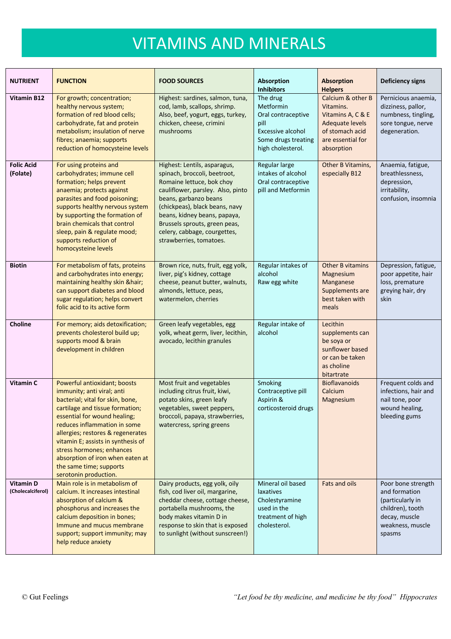| <b>NUTRIENT</b>                       | <b>FUNCTION</b>                                                                                                                                                                                                                                                                                                                                                                                   | <b>FOOD SOURCES</b>                                                                                                                                                                                                                                                                                                   | Absorption<br><b>Inhibitors</b>                                                                                      | <b>Absorption</b><br><b>Helpers</b>                                                                                          | <b>Deficiency signs</b>                                                                                                    |
|---------------------------------------|---------------------------------------------------------------------------------------------------------------------------------------------------------------------------------------------------------------------------------------------------------------------------------------------------------------------------------------------------------------------------------------------------|-----------------------------------------------------------------------------------------------------------------------------------------------------------------------------------------------------------------------------------------------------------------------------------------------------------------------|----------------------------------------------------------------------------------------------------------------------|------------------------------------------------------------------------------------------------------------------------------|----------------------------------------------------------------------------------------------------------------------------|
| <b>Vitamin B12</b>                    | For growth; concentration;<br>healthy nervous system;<br>formation of red blood cells;<br>carbohydrate, fat and protein<br>metabolism; insulation of nerve<br>fibres; anaemia; supports<br>reduction of homocysteine levels                                                                                                                                                                       | Highest: sardines, salmon, tuna,<br>cod, lamb, scallops, shrimp.<br>Also, beef, yogurt, eggs, turkey,<br>chicken, cheese, crimini<br>mushrooms                                                                                                                                                                        | The drug<br>Metformin<br>Oral contraceptive<br>pill<br>Excessive alcohol<br>Some drugs treating<br>high cholesterol. | Calcium & other B<br>Vitamins.<br>Vitamins A, C & E<br>Adequate levels<br>of stomach acid<br>are essential for<br>absorption | Pernicious anaemia,<br>dizziness, pallor,<br>numbness, tingling,<br>sore tongue, nerve<br>degeneration.                    |
| <b>Folic Acid</b><br>(Folate)         | For using proteins and<br>carbohydrates; immune cell<br>formation; helps prevent<br>anaemia; protects against<br>parasites and food poisoning;<br>supports healthy nervous system<br>by supporting the formation of<br>brain chemicals that control<br>sleep, pain & regulate mood;<br>supports reduction of<br>homocysteine levels                                                               | Highest: Lentils, asparagus,<br>spinach, broccoli, beetroot,<br>Romaine lettuce, bok choy<br>cauliflower, parsley. Also, pinto<br>beans, garbanzo beans<br>(chickpeas), black beans, navy<br>beans, kidney beans, papaya,<br>Brussels sprouts, green peas,<br>celery, cabbage, courgettes,<br>strawberries, tomatoes. | Regular large<br>intakes of alcohol<br>Oral contraceptive<br>pill and Metformin                                      | Other B Vitamins,<br>especially B12                                                                                          | Anaemia, fatigue,<br>breathlessness,<br>depression,<br>irritability,<br>confusion, insomnia                                |
| <b>Biotin</b>                         | For metabolism of fats, proteins<br>and carbohydrates into energy;<br>maintaining healthy skin &hair<br>can support diabetes and blood<br>sugar regulation; helps convert<br>folic acid to its active form                                                                                                                                                                                        | Brown rice, nuts, fruit, egg yolk,<br>liver, pig's kidney, cottage<br>cheese, peanut butter, walnuts,<br>almonds, lettuce, peas,<br>watermelon, cherries                                                                                                                                                              | Regular intakes of<br>alcohol<br>Raw egg white                                                                       | <b>Other B vitamins</b><br>Magnesium<br>Manganese<br>Supplements are<br>best taken with<br>meals                             | Depression, fatigue,<br>poor appetite, hair<br>loss, premature<br>greying hair, dry<br>skin                                |
| Choline                               | For memory; aids detoxification;<br>prevents cholesterol build up;<br>supports mood & brain<br>development in children                                                                                                                                                                                                                                                                            | Green leafy vegetables, egg<br>yolk, wheat germ, liver, lecithin,<br>avocado, lecithin granules                                                                                                                                                                                                                       | Regular intake of<br>alcohol                                                                                         | Lecithin<br>supplements can<br>be soya or<br>sunflower based<br>or can be taken<br>as choline<br>bitartrate                  |                                                                                                                            |
| Vitamin C                             | Powerful antioxidant; boosts<br>immunity; anti viral; anti<br>bacterial; vital for skin, bone,<br>cartilage and tissue formation;<br>essential for wound healing;<br>reduces inflammation in some<br>allergies; restores & regenerates<br>vitamin E; assists in synthesis of<br>stress hormones; enhances<br>absorption of iron when eaten at<br>the same time; supports<br>serotonin production. | Most fruit and vegetables<br>including citrus fruit, kiwi,<br>potato skins, green leafy<br>vegetables, sweet peppers,<br>broccoli, papaya, strawberries,<br>watercress, spring greens                                                                                                                                 | Smoking<br>Contraceptive pill<br>Aspirin &<br>corticosteroid drugs                                                   | <b>Bioflavanoids</b><br>Calcium<br>Magnesium                                                                                 | Frequent colds and<br>infections, hair and<br>nail tone, poor<br>wound healing,<br>bleeding gums                           |
| <b>Vitamin D</b><br>(Cholecalciferol) | Main role is in metabolism of<br>calcium. It increases intestinal<br>absorption of calcium &<br>phosphorus and increases the<br>calcium deposition in bones;<br>Immune and mucus membrane<br>support; support immunity; may<br>help reduce anxiety                                                                                                                                                | Dairy products, egg yolk, oily<br>fish, cod liver oil, margarine,<br>cheddar cheese, cottage cheese,<br>portabella mushrooms, the<br>body makes vitamin D in<br>response to skin that is exposed<br>to sunlight (without sunscreen!)                                                                                  | Mineral oil based<br>laxatives<br>Cholestyramine<br>used in the<br>treatment of high<br>cholesterol.                 | Fats and oils                                                                                                                | Poor bone strength<br>and formation<br>(particularly in<br>children), tooth<br>decay, muscle<br>weakness, muscle<br>spasms |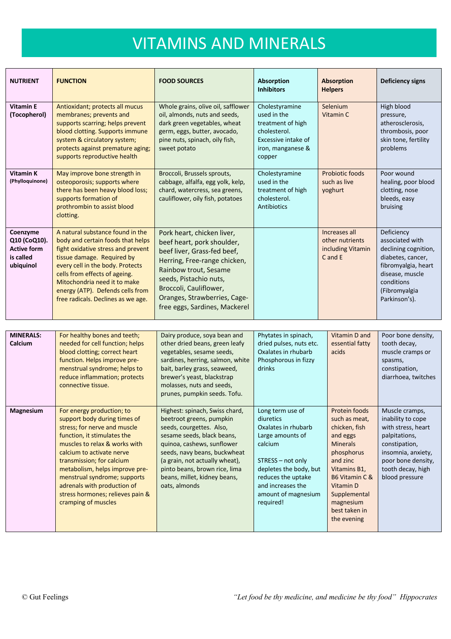| <b>NUTRIENT</b>                                                          | <b>FUNCTION</b>                                                                                                                                                                                                                                                                                                          | <b>FOOD SOURCES</b>                                                                                                                                                                                                                                                   | <b>Absorption</b><br><b>Inhibitors</b>                                                                                   | <b>Absorption</b><br><b>Helpers</b>                                  | <b>Deficiency signs</b>                                                                                                                                              |
|--------------------------------------------------------------------------|--------------------------------------------------------------------------------------------------------------------------------------------------------------------------------------------------------------------------------------------------------------------------------------------------------------------------|-----------------------------------------------------------------------------------------------------------------------------------------------------------------------------------------------------------------------------------------------------------------------|--------------------------------------------------------------------------------------------------------------------------|----------------------------------------------------------------------|----------------------------------------------------------------------------------------------------------------------------------------------------------------------|
| <b>Vitamin E</b><br>(Tocopherol)                                         | Antioxidant; protects all mucus<br>membranes; prevents and<br>supports scarring; helps prevent<br>blood clotting. Supports immune<br>system & circulatory system;<br>protects against premature aging;<br>supports reproductive health                                                                                   | Whole grains, olive oil, safflower<br>oil, almonds, nuts and seeds,<br>dark green vegetables, wheat<br>germ, eggs, butter, avocado,<br>pine nuts, spinach, oily fish,<br>sweet potato                                                                                 | Cholestyramine<br>used in the<br>treatment of high<br>cholesterol.<br>Excessive intake of<br>iron, manganese &<br>copper | Selenium<br>Vitamin C                                                | High blood<br>pressure,<br>atherosclerosis,<br>thrombosis, poor<br>skin tone, fertility<br>problems                                                                  |
| <b>Vitamin K</b><br>(Phylloquinone)                                      | May improve bone strength in<br>osteoporosis; supports where<br>there has been heavy blood loss;<br>supports formation of<br>prothrombin to assist blood<br>clotting.                                                                                                                                                    | Broccoli, Brussels sprouts,<br>cabbage, alfalfa, egg yolk, kelp,<br>chard, watercress, sea greens,<br>cauliflower, oily fish, potatoes                                                                                                                                | Cholestyramine<br>used in the<br>treatment of high<br>cholesterol.<br>Antibiotics                                        | Probiotic foods<br>such as live<br>yoghurt                           | Poor wound<br>healing, poor blood<br>clotting, nose<br>bleeds, easy<br>bruising                                                                                      |
| Coenzyme<br>Q10 (CoQ10).<br><b>Active form</b><br>is called<br>ubiquinol | A natural substance found in the<br>body and certain foods that helps<br>fight oxidative stress and prevent<br>tissue damage. Required by<br>every cell in the body. Protects<br>cells from effects of ageing.<br>Mitochondria need it to make<br>energy (ATP). Defends cells from<br>free radicals. Declines as we age. | Pork heart, chicken liver,<br>beef heart, pork shoulder,<br>beef liver, Grass-fed beef,<br>Herring, Free-range chicken,<br>Rainbow trout, Sesame<br>seeds, Pistachio nuts,<br>Broccoli, Cauliflower,<br>Oranges, Strawberries, Cage-<br>free eggs, Sardines, Mackerel |                                                                                                                          | Increases all<br>other nutrients<br>including Vitamin<br>$C$ and $E$ | Deficiency<br>associated with<br>declining cognition,<br>diabetes, cancer,<br>fibromyalgia, heart<br>disease, muscle<br>conditions<br>(Fibromyalgia<br>Parkinson's). |

| <b>MINERALS:</b><br>Calcium | For healthy bones and teeth;<br>needed for cell function; helps<br>blood clotting; correct heart<br>function. Helps improve pre-<br>menstrual syndrome; helps to<br>reduce inflammation; protects<br>connective tissue.                                                                                                                                                         | Dairy produce, soya bean and<br>other dried beans, green leafy<br>vegetables, sesame seeds,<br>sardines, herring, salmon, white<br>bait, barley grass, seaweed,<br>brewer's yeast, blackstrap<br>molasses, nuts and seeds,<br>prunes, pumpkin seeds. Tofu.                                             | Phytates in spinach,<br>dried pulses, nuts etc.<br>Oxalates in rhubarb<br>Phosphorous in fizzy<br>drinks                                                                                                          | Vitamin D and<br>essential fatty<br>acids                                                                                                                                                                            | Poor bone density,<br>tooth decay,<br>muscle cramps or<br>spasms,<br>constipation,<br>diarrhoea, twitches                                                                      |
|-----------------------------|---------------------------------------------------------------------------------------------------------------------------------------------------------------------------------------------------------------------------------------------------------------------------------------------------------------------------------------------------------------------------------|--------------------------------------------------------------------------------------------------------------------------------------------------------------------------------------------------------------------------------------------------------------------------------------------------------|-------------------------------------------------------------------------------------------------------------------------------------------------------------------------------------------------------------------|----------------------------------------------------------------------------------------------------------------------------------------------------------------------------------------------------------------------|--------------------------------------------------------------------------------------------------------------------------------------------------------------------------------|
| <b>Magnesium</b>            | For energy production; to<br>support body during times of<br>stress; for nerve and muscle<br>function, it stimulates the<br>muscles to relax & works with<br>calcium to activate nerve<br>transmission; for calcium<br>metabolism, helps improve pre-<br>menstrual syndrome; supports<br>adrenals with production of<br>stress hormones; relieves pain &<br>cramping of muscles | Highest: spinach, Swiss chard,<br>beetroot greens, pumpkin<br>seeds, courgettes. Also,<br>sesame seeds, black beans,<br>quinoa, cashews, sunflower<br>seeds, navy beans, buckwheat<br>(a grain, not actually wheat),<br>pinto beans, brown rice, lima<br>beans, millet, kidney beans,<br>oats, almonds | Long term use of<br>diuretics<br>Oxalates in rhubarb<br>Large amounts of<br>calcium<br>STRESS - not only<br>depletes the body, but<br>reduces the uptake<br>and increases the<br>amount of magnesium<br>required! | Protein foods<br>such as meat,<br>chicken, fish<br>and eggs<br><b>Minerals</b><br>phosphorus<br>and zinc<br>Vitamins B1,<br>B6 Vitamin C &<br>Vitamin D<br>Supplemental<br>magnesium<br>best taken in<br>the evening | Muscle cramps,<br>inability to cope<br>with stress, heart<br>palpitations,<br>constipation,<br>insomnia, anxiety,<br>poor bone density,<br>tooth decay, high<br>blood pressure |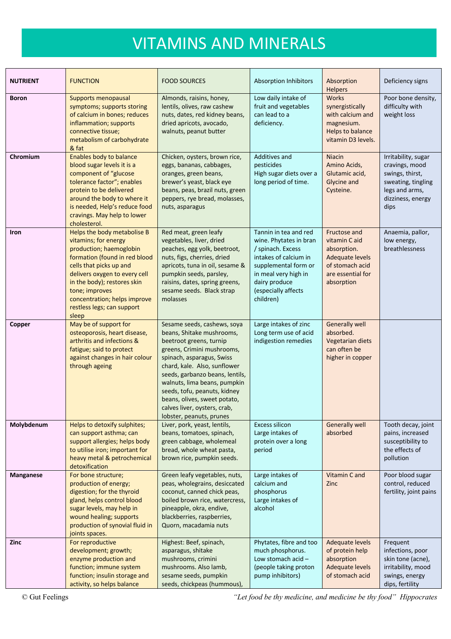| <b>NUTRIENT</b>  | <b>FUNCTION</b>                                                                                                                                                                                                                                                                                     | <b>FOOD SOURCES</b>                                                                                                                                                                                                                                                                                                                                                           | <b>Absorption Inhibitors</b>                                                                                                                                                                       | Absorption<br><b>Helpers</b>                                                                                          | Deficiency signs                                                                                                              |
|------------------|-----------------------------------------------------------------------------------------------------------------------------------------------------------------------------------------------------------------------------------------------------------------------------------------------------|-------------------------------------------------------------------------------------------------------------------------------------------------------------------------------------------------------------------------------------------------------------------------------------------------------------------------------------------------------------------------------|----------------------------------------------------------------------------------------------------------------------------------------------------------------------------------------------------|-----------------------------------------------------------------------------------------------------------------------|-------------------------------------------------------------------------------------------------------------------------------|
| <b>Boron</b>     | Supports menopausal<br>symptoms; supports storing<br>of calcium in bones; reduces<br>inflammation; supports<br>connective tissue;<br>metabolism of carbohydrate<br>& fat                                                                                                                            | Almonds, raisins, honey,<br>lentils, olives, raw cashew<br>nuts, dates, red kidney beans,<br>dried apricots, avocado,<br>walnuts, peanut butter                                                                                                                                                                                                                               | Low daily intake of<br>fruit and vegetables<br>can lead to a<br>deficiency.                                                                                                                        | Works<br>synergistically<br>with calcium and<br>magnesium.<br>Helps to balance<br>vitamin D3 levels.                  | Poor bone density,<br>difficulty with<br>weight loss                                                                          |
| Chromium         | <b>Enables body to balance</b><br>blood sugar levels it is a<br>component of "glucose<br>tolerance factor"; enables<br>protein to be delivered<br>around the body to where it<br>is needed, Help's reduce food<br>cravings. May help to lower<br>cholesterol.                                       | Chicken, oysters, brown rice,<br>eggs, bananas, cabbages,<br>oranges, green beans,<br>brewer's yeast, black eye<br>beans, peas, brazil nuts, green<br>peppers, rye bread, molasses,<br>nuts, asparagus                                                                                                                                                                        | Additives and<br>pesticides<br>High sugar diets over a<br>long period of time.                                                                                                                     | <b>Niacin</b><br>Amino Acids,<br>Glutamic acid,<br><b>Glycine and</b><br>Cysteine.                                    | Irritability, sugar<br>cravings, mood<br>swings, thirst,<br>sweating, tingling<br>legs and arms,<br>dizziness, energy<br>dips |
| <b>Iron</b>      | Helps the body metabolise B<br>vitamins; for energy<br>production; haemoglobin<br>formation (found in red blood<br>cells that picks up and<br>delivers oxygen to every cell<br>in the body); restores skin<br>tone; improves<br>concentration; helps improve<br>restless legs; can support<br>sleep | Red meat, green leafy<br>vegetables, liver, dried<br>peaches, egg yolk, beetroot,<br>nuts, figs, cherries, dried<br>apricots, tuna in oil, sesame &<br>pumpkin seeds, parsley,<br>raisins, dates, spring greens,<br>sesame seeds. Black strap<br>molasses                                                                                                                     | Tannin in tea and red<br>wine. Phytates in bran<br>/ spinach. Excess<br>intakes of calcium in<br>supplemental form or<br>in meal very high in<br>dairy produce<br>(especially affects<br>children) | Fructose and<br>vitamin C aid<br>absorption.<br>Adequate levels<br>of stomach acid<br>are essential for<br>absorption | Anaemia, pallor,<br>low energy,<br>breathlessness                                                                             |
| Copper           | May be of support for<br>osteoporosis, heart disease,<br>arthritis and infections &<br>fatigue; said to protect<br>against changes in hair colour<br>through ageing                                                                                                                                 | Sesame seeds, cashews, soya<br>beans, Shitake mushrooms,<br>beetroot greens, turnip<br>greens, Crimini mushrooms,<br>spinach, asparagus, Swiss<br>chard, kale. Also, sunflower<br>seeds, garbanzo beans, lentils,<br>walnuts, lima beans, pumpkin<br>seeds, tofu, peanuts, kidney<br>beans, olives, sweet potato,<br>calves liver, oysters, crab,<br>lobster, peanuts, prunes | Large intakes of zinc<br>Long term use of acid<br>indigestion remedies                                                                                                                             | <b>Generally well</b><br>absorbed.<br>Vegetarian diets<br>can often be<br>higher in copper                            |                                                                                                                               |
| Molybdenum       | Helps to detoxify sulphites;<br>can support asthma; can<br>support allergies; helps body<br>to utilise iron; important for<br>heavy metal & petrochemical<br>detoxification                                                                                                                         | Liver, pork, yeast, lentils,<br>beans, tomatoes, spinach,<br>green cabbage, wholemeal<br>bread, whole wheat pasta,<br>brown rice, pumpkin seeds.                                                                                                                                                                                                                              | <b>Excess silicon</b><br>Large intakes of<br>protein over a long<br>period                                                                                                                         | <b>Generally well</b><br>absorbed                                                                                     | Tooth decay, joint<br>pains, increased<br>susceptibility to<br>the effects of<br>pollution                                    |
| <b>Manganese</b> | For bone structure;<br>production of energy;<br>digestion; for the thyroid<br>gland, helps control blood<br>sugar levels, may help in<br>wound healing; supports<br>production of synovial fluid in<br>joints spaces.                                                                               | Green leafy vegetables, nuts,<br>peas, wholegrains, desiccated<br>coconut, canned chick peas,<br>boiled brown rice, watercress,<br>pineapple, okra, endive,<br>blackberries, raspberries,<br>Quorn, macadamia nuts                                                                                                                                                            | Large intakes of<br>calcium and<br>phosphorus<br>Large intakes of<br>alcohol                                                                                                                       | Vitamin C and<br>Zinc                                                                                                 | Poor blood sugar<br>control, reduced<br>fertility, joint pains                                                                |
| Zinc             | For reproductive<br>development; growth;<br>enzyme production and<br>function; immune system<br>function; insulin storage and<br>activity, so helps balance                                                                                                                                         | Highest: Beef, spinach,<br>asparagus, shitake<br>mushrooms, crimini<br>mushrooms. Also lamb,<br>sesame seeds, pumpkin<br>seeds, chickpeas (hummous),                                                                                                                                                                                                                          | Phytates, fibre and too<br>much phosphorus.<br>Low stomach acid-<br>(people taking proton<br>pump inhibitors)                                                                                      | <b>Adequate levels</b><br>of protein help<br>absorption<br>Adequate levels<br>of stomach acid                         | Frequent<br>infections, poor<br>skin tone (acne),<br>irritability, mood<br>swings, energy<br>dips, fertility                  |

© Gut Feelings *"Let food be thy medicine, and medicine be thy food" Hippocrates*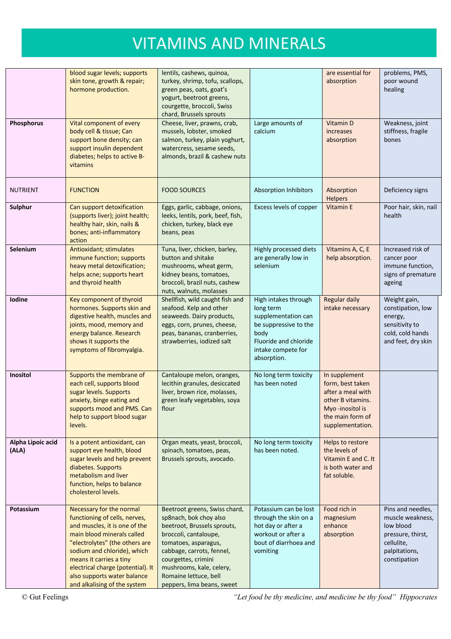|                            | blood sugar levels; supports<br>skin tone, growth & repair;<br>hormone production.                                                                                                                                                                                                                                       | lentils, cashews, quinoa,<br>turkey, shrimp, tofu, scallops,<br>green peas, oats, goat's<br>yogurt, beetroot greens,<br>courgette, broccoli, Swiss<br>chard, Brussels sprouts                                                                                                  |                                                                                                                                                         | are essential for<br>absorption                                                                                                        | problems, PMS,<br>poor wound<br>healing                                                                                |
|----------------------------|--------------------------------------------------------------------------------------------------------------------------------------------------------------------------------------------------------------------------------------------------------------------------------------------------------------------------|--------------------------------------------------------------------------------------------------------------------------------------------------------------------------------------------------------------------------------------------------------------------------------|---------------------------------------------------------------------------------------------------------------------------------------------------------|----------------------------------------------------------------------------------------------------------------------------------------|------------------------------------------------------------------------------------------------------------------------|
| Phosphorus                 | Vital component of every<br>body cell & tissue; Can<br>support bone density; can<br>support insulin dependent<br>diabetes; helps to active B-<br>vitamins                                                                                                                                                                | Cheese, liver, prawns, crab,<br>mussels, lobster, smoked<br>salmon, turkey, plain yoghurt,<br>watercress, sesame seeds,<br>almonds, brazil & cashew nuts                                                                                                                       | Large amounts of<br>calcium                                                                                                                             | Vitamin D<br>increases<br>absorption                                                                                                   | Weakness, joint<br>stiffness, fragile<br>bones                                                                         |
| <b>NUTRIENT</b>            | <b>FUNCTION</b>                                                                                                                                                                                                                                                                                                          | <b>FOOD SOURCES</b>                                                                                                                                                                                                                                                            | <b>Absorption Inhibitors</b>                                                                                                                            | Absorption<br><b>Helpers</b>                                                                                                           | Deficiency signs                                                                                                       |
| Sulphur                    | Can support detoxification<br>(supports liver); joint health;<br>healthy hair, skin, nails &<br>bones; anti-inflammatory<br>action                                                                                                                                                                                       | Eggs, garlic, cabbage, onions,<br>leeks, lentils, pork, beef, fish,<br>chicken, turkey, black eye<br>beans, peas                                                                                                                                                               | Excess levels of copper                                                                                                                                 | <b>Vitamin E</b>                                                                                                                       | Poor hair, skin, nail<br>health                                                                                        |
| Selenium                   | <b>Antioxidant; stimulates</b><br>immune function; supports<br>heavy metal detoxification;<br>helps acne; supports heart<br>and thyroid health                                                                                                                                                                           | Tuna, liver, chicken, barley,<br>button and shitake<br>mushrooms, wheat germ,<br>kidney beans, tomatoes,<br>broccoli, brazil nuts, cashew<br>nuts, walnuts, molasses                                                                                                           | Highly processed diets<br>are generally low in<br>selenium                                                                                              | Vitamins A, C, E<br>help absorption.                                                                                                   | Increased risk of<br>cancer poor<br>immune function,<br>signs of premature<br>ageing                                   |
| Iodine                     | Key component of thyroid<br>hormones. Supports skin and<br>digestive health, muscles and<br>joints, mood, memory and<br>energy balance. Research<br>shows it supports the<br>symptoms of fibromyalgia.                                                                                                                   | Shellfish, wild caught fish and<br>seafood. Kelp and other<br>seaweeds. Dairy products,<br>eggs, corn, prunes, cheese,<br>peas, bananas, cranberries,<br>strawberries, iodized salt                                                                                            | High intakes through<br>long term<br>supplementation can<br>be suppressive to the<br>body<br>Fluoride and chloride<br>intake compete for<br>absorption. | <b>Regular daily</b><br>intake necessary                                                                                               | Weight gain,<br>constipation, low<br>energy,<br>sensitivity to<br>cold, cold hands<br>and feet, dry skin               |
| Inositol                   | Supports the membrane of<br>each cell, supports blood<br>sugar levels. Supports<br>anxiety, binge eating and<br>supports mood and PMS. Can<br>help to support blood sugar<br>levels.                                                                                                                                     | Cantaloupe melon, oranges,<br>lecithin granules, desiccated<br>liver, brown rice, molasses,<br>green leafy vegetables, soya<br>flour                                                                                                                                           | No long term toxicity<br>has been noted                                                                                                                 | In supplement<br>form, best taken<br>after a meal with<br>other B vitamins.<br>Myo-inositol is<br>the main form of<br>supplementation. |                                                                                                                        |
| Alpha Lipoic acid<br>(ALA) | Is a potent antioxidant, can<br>support eye health, blood<br>sugar levels and help prevent<br>diabetes. Supports<br>metabolism and liver<br>function, helps to balance<br>cholesterol levels.                                                                                                                            | Organ meats, yeast, broccoli,<br>spinach, tomatoes, peas,<br>Brussels sprouts, avocado.                                                                                                                                                                                        | No long term toxicity<br>has been noted.                                                                                                                | Helps to restore<br>the levels of<br>Vitamin E and C. It<br>is both water and<br>fat soluble.                                          |                                                                                                                        |
| Potassium                  | Necessary for the normal<br>functioning of cells, nerves,<br>and muscles, it is one of the<br>main blood minerals called<br>"electrolytes" (the others are<br>sodium and chloride), which<br>means it carries a tiny<br>electrical charge (potential). It<br>also supports water balance<br>and alkalising of the system | Beetroot greens, Swiss chard,<br>sp8nach, bok choy also<br>beetroot, Brussels sprouts,<br>broccoli, cantaloupe,<br>tomatoes, asparagus,<br>cabbage, carrots, fennel,<br>courgettes, crimini<br>mushrooms, kale, celery,<br>Romaine lettuce, bell<br>peppers, lima beans, sweet | Potassium can be lost<br>through the skin on a<br>hot day or after a<br>workout or after a<br>bout of diarrhoea and<br>vomiting                         | Food rich in<br>magnesium<br>enhance<br>absorption                                                                                     | Pins and needles,<br>muscle weakness,<br>low blood<br>pressure, thirst,<br>cellulite,<br>palpitations,<br>constipation |

© Gut Feelings *"Let food be thy medicine, and medicine be thy food" Hippocrates*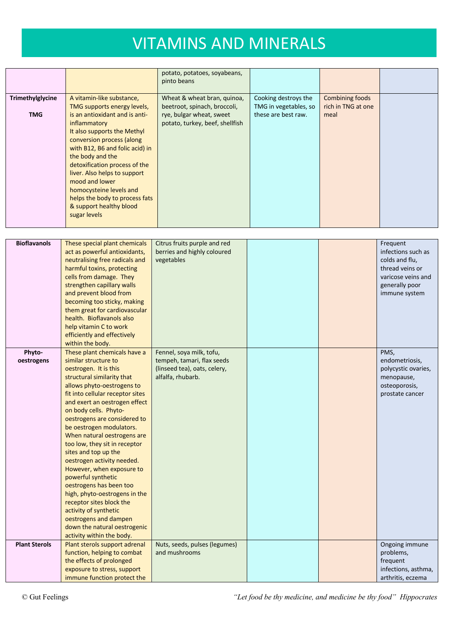|                                |                                                                                                                                                                                                                                                                                                                                                                                                                          | potato, potatoes, soyabeans,<br>pinto beans                                                                                |                                                                      |                                               |  |
|--------------------------------|--------------------------------------------------------------------------------------------------------------------------------------------------------------------------------------------------------------------------------------------------------------------------------------------------------------------------------------------------------------------------------------------------------------------------|----------------------------------------------------------------------------------------------------------------------------|----------------------------------------------------------------------|-----------------------------------------------|--|
| Trimethylglycine<br><b>TMG</b> | A vitamin-like substance,<br>TMG supports energy levels,<br>is an antioxidant and is anti-<br>inflammatory<br>It also supports the Methyl<br>conversion process (along<br>with B12, B6 and folic acid) in<br>the body and the<br>detoxification process of the<br>liver. Also helps to support<br>mood and lower<br>homocysteine levels and<br>helps the body to process fats<br>& support healthy blood<br>sugar levels | Wheat & wheat bran, quinoa,<br>beetroot, spinach, broccoli,<br>rye, bulgar wheat, sweet<br>potato, turkey, beef, shellfish | Cooking destroys the<br>TMG in vegetables, so<br>these are best raw. | Combining foods<br>rich in TNG at one<br>meal |  |

| <b>Bioflavanols</b>  | These special plant chemicals    | Citrus fruits purple and red  |  | Frequent            |
|----------------------|----------------------------------|-------------------------------|--|---------------------|
|                      | act as powerful antioxidants,    | berries and highly coloured   |  | infections such as  |
|                      | neutralising free radicals and   | vegetables                    |  | colds and flu,      |
|                      | harmful toxins, protecting       |                               |  | thread veins or     |
|                      | cells from damage. They          |                               |  | varicose veins and  |
|                      | strengthen capillary walls       |                               |  | generally poor      |
|                      | and prevent blood from           |                               |  | immune system       |
|                      | becoming too sticky, making      |                               |  |                     |
|                      | them great for cardiovascular    |                               |  |                     |
|                      | health. Bioflavanols also        |                               |  |                     |
|                      | help vitamin C to work           |                               |  |                     |
|                      | efficiently and effectively      |                               |  |                     |
|                      | within the body.                 |                               |  |                     |
| Phyto-               | These plant chemicals have a     | Fennel, soya milk, tofu,      |  | PMS,                |
| oestrogens           | similar structure to             | tempeh, tamari, flax seeds    |  | endometriosis,      |
|                      | oestrogen. It is this            | (linseed tea), oats, celery,  |  | polycystic ovaries, |
|                      | structural similarity that       | alfalfa, rhubarb.             |  | menopause,          |
|                      | allows phyto-oestrogens to       |                               |  | osteoporosis,       |
|                      | fit into cellular receptor sites |                               |  | prostate cancer     |
|                      | and exert an oestrogen effect    |                               |  |                     |
|                      | on body cells. Phyto-            |                               |  |                     |
|                      | oestrogens are considered to     |                               |  |                     |
|                      | be oestrogen modulators.         |                               |  |                     |
|                      | When natural oestrogens are      |                               |  |                     |
|                      | too low, they sit in receptor    |                               |  |                     |
|                      | sites and top up the             |                               |  |                     |
|                      | oestrogen activity needed.       |                               |  |                     |
|                      | However, when exposure to        |                               |  |                     |
|                      | powerful synthetic               |                               |  |                     |
|                      | oestrogens has been too          |                               |  |                     |
|                      | high, phyto-oestrogens in the    |                               |  |                     |
|                      | receptor sites block the         |                               |  |                     |
|                      | activity of synthetic            |                               |  |                     |
|                      | oestrogens and dampen            |                               |  |                     |
|                      | down the natural oestrogenic     |                               |  |                     |
|                      | activity within the body.        |                               |  |                     |
| <b>Plant Sterols</b> | Plant sterols support adrenal    | Nuts, seeds, pulses (legumes) |  | Ongoing immune      |
|                      | function, helping to combat      | and mushrooms                 |  | problems,           |
|                      | the effects of prolonged         |                               |  | frequent            |
|                      | exposure to stress, support      |                               |  | infections, asthma, |
|                      | immune function protect the      |                               |  | arthritis, eczema   |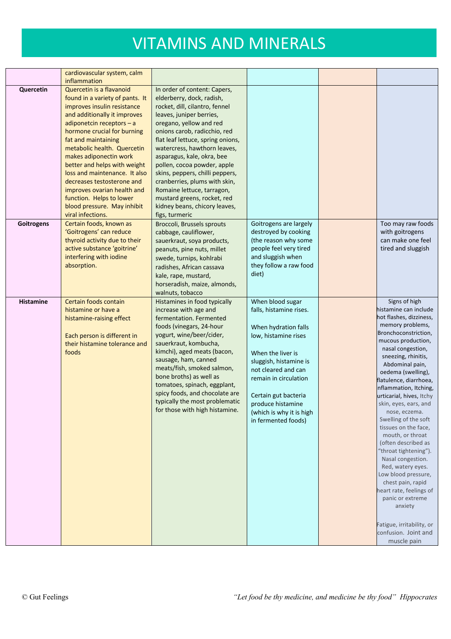|                  | cardiovascular system, calm<br>inflammation                                                                                                                                                                                                                                                                                                                                                                                                                                            |                                                                                                                                                                                                                                                                                                                                                                                                                                                                                                          |                                                                                                                                                                                                                                                                                            |                                                                                                                                                                                                                                                                                                                                                                                                                                                                                                                                                                                                                                                                                            |
|------------------|----------------------------------------------------------------------------------------------------------------------------------------------------------------------------------------------------------------------------------------------------------------------------------------------------------------------------------------------------------------------------------------------------------------------------------------------------------------------------------------|----------------------------------------------------------------------------------------------------------------------------------------------------------------------------------------------------------------------------------------------------------------------------------------------------------------------------------------------------------------------------------------------------------------------------------------------------------------------------------------------------------|--------------------------------------------------------------------------------------------------------------------------------------------------------------------------------------------------------------------------------------------------------------------------------------------|--------------------------------------------------------------------------------------------------------------------------------------------------------------------------------------------------------------------------------------------------------------------------------------------------------------------------------------------------------------------------------------------------------------------------------------------------------------------------------------------------------------------------------------------------------------------------------------------------------------------------------------------------------------------------------------------|
| Quercetin        | Quercetin is a flavanoid<br>found in a variety of pants. It<br>improves insulin resistance<br>and additionally it improves<br>adiponetcin receptors $- a$<br>hormone crucial for burning<br>fat and maintaining<br>metabolic health. Quercetin<br>makes adiponectin work<br>better and helps with weight<br>loss and maintenance. It also<br>decreases testosterone and<br>improves ovarian health and<br>function. Helps to lower<br>blood pressure. May inhibit<br>viral infections. | In order of content: Capers,<br>elderberry, dock, radish,<br>rocket, dill, cilantro, fennel<br>leaves, juniper berries,<br>oregano, yellow and red<br>onions carob, radicchio, red<br>flat leaf lettuce, spring onions,<br>watercress, hawthorn leaves,<br>asparagus, kale, okra, bee<br>pollen, cocoa powder, apple<br>skins, peppers, chilli peppers,<br>cranberries, plums with skin,<br>Romaine lettuce, tarragon,<br>mustard greens, rocket, red<br>kidney beans, chicory leaves,<br>figs, turmeric |                                                                                                                                                                                                                                                                                            |                                                                                                                                                                                                                                                                                                                                                                                                                                                                                                                                                                                                                                                                                            |
| Goitrogens       | Certain foods, known as<br>'Goitrogens' can reduce<br>thyroid activity due to their<br>active substance 'goitrine'<br>interfering with iodine<br>absorption.                                                                                                                                                                                                                                                                                                                           | Broccoli, Brussels sprouts<br>cabbage, cauliflower,<br>sauerkraut, soya products,<br>peanuts, pine nuts, millet<br>swede, turnips, kohlrabi<br>radishes, African cassava<br>kale, rape, mustard,<br>horseradish, maize, almonds,                                                                                                                                                                                                                                                                         | Goitrogens are largely<br>destroyed by cooking<br>(the reason why some<br>people feel very tired<br>and sluggish when<br>they follow a raw food<br>diet)                                                                                                                                   | Too may raw foods<br>with goitrogens<br>can make one feel<br>tired and sluggish                                                                                                                                                                                                                                                                                                                                                                                                                                                                                                                                                                                                            |
| <b>Histamine</b> | Certain foods contain<br>histamine or have a<br>histamine-raising effect<br>Each person is different in<br>their histamine tolerance and<br>foods                                                                                                                                                                                                                                                                                                                                      | walnuts, tobacco<br>Histamines in food typically<br>increase with age and<br>fermentation. Fermented<br>foods (vinegars, 24-hour<br>yogurt, wine/beer/cider,<br>sauerkraut, kombucha,<br>kimchi), aged meats (bacon,<br>sausage, ham, canned<br>meats/fish, smoked salmon,<br>bone broths) as well as<br>tomatoes, spinach, eggplant,<br>spicy foods, and chocolate are<br>typically the most problematic<br>for those with high histamine.                                                              | When blood sugar<br>falls, histamine rises.<br>When hydration falls<br>low, histamine rises<br>When the liver is<br>sluggish, histamine is<br>not cleared and can<br>remain in circulation<br>Certain gut bacteria<br>produce histamine<br>(which is why it is high<br>in fermented foods) | Signs of high<br>histamine can include<br>hot flashes, dizziness,<br>memory problems,<br>Bronchoconstriction,<br>mucous production,<br>nasal congestion,<br>sneezing, rhinitis,<br>Abdominal pain,<br>oedema (swelling),<br>flatulence, diarrhoea,<br>inflammation, Itching,<br>urticarial, hives, Itchy<br>skin, eyes, ears, and<br>nose, eczema.<br>Swelling of the soft<br>tissues on the face,<br>mouth, or throat<br>(often described as<br>"throat tightening").<br>Nasal congestion.<br>Red, watery eyes.<br>Low blood pressure,<br>chest pain, rapid<br>heart rate, feelings of<br>panic or extreme<br>anxiety<br>Fatigue, irritability, or<br>confusion. Joint and<br>muscle pain |